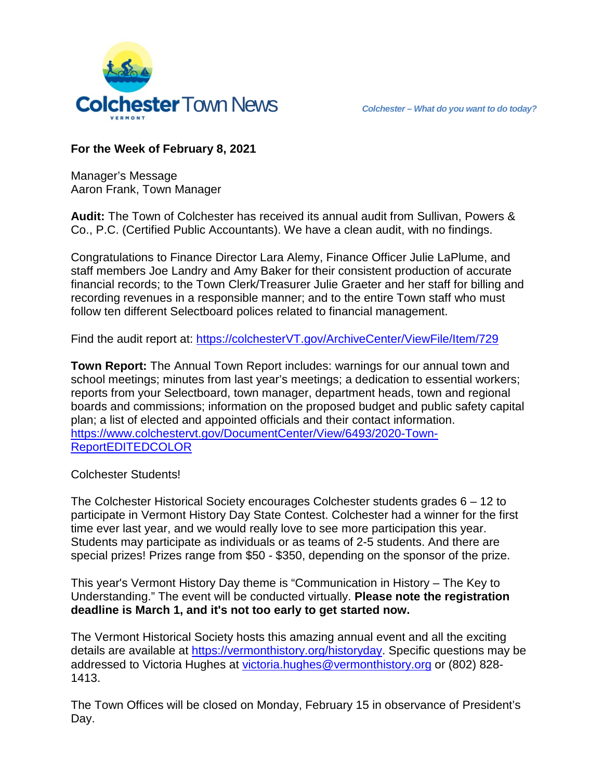

## **For the Week of February 8, 2021**

Manager's Message Aaron Frank, Town Manager

**Audit:** The Town of Colchester has received its annual audit from Sullivan, Powers & Co., P.C. (Certified Public Accountants). We have a clean audit, with no findings.

Congratulations to Finance Director Lara Alemy, Finance Officer Julie LaPlume, and staff members Joe Landry and Amy Baker for their consistent production of accurate financial records; to the Town Clerk/Treasurer Julie Graeter and her staff for billing and recording revenues in a responsible manner; and to the entire Town staff who must follow ten different Selectboard polices related to financial management.

Find the audit report at: [https://colchesterVT.gov/ArchiveCenter/ViewFile/Item/729](https://colchestervt.gov/ArchiveCenter/ViewFile/Item/729)

**Town Report:** The Annual Town Report includes: warnings for our annual town and school meetings; minutes from last year's meetings; a dedication to essential workers; reports from your Selectboard, town manager, department heads, town and regional boards and commissions; information on the proposed budget and public safety capital plan; a list of elected and appointed officials and their contact information. [https://www.colchestervt.gov/DocumentCenter/View/6493/2020-Town-](https://www.colchestervt.gov/DocumentCenter/View/6493/2020-Town-ReportEDITEDCOLOR)**[ReportEDITEDCOLOR](https://www.colchestervt.gov/DocumentCenter/View/6493/2020-Town-ReportEDITEDCOLOR)** 

Colchester Students!

The Colchester Historical Society encourages Colchester students grades 6 – 12 to participate in Vermont History Day State Contest. Colchester had a winner for the first time ever last year, and we would really love to see more participation this year. Students may participate as individuals or as teams of 2-5 students. And there are special prizes! Prizes range from \$50 - \$350, depending on the sponsor of the prize.

This year's Vermont History Day theme is "Communication in History – The Key to Understanding." The event will be conducted virtually. **Please note the registration deadline is March 1, and it's not too early to get started now.**

The Vermont Historical Society hosts this amazing annual event and all the exciting details are available at [https://vermonthistory.org/historyday.](https://vermonthistory.org/historyday) Specific questions may be addressed to Victoria Hughes at [victoria.hughes@vermonthistory.org](mailto:victoria.hughes@vermonthistory.org) or (802) 828-1413.

The Town Offices will be closed on Monday, February 15 in observance of President's Day.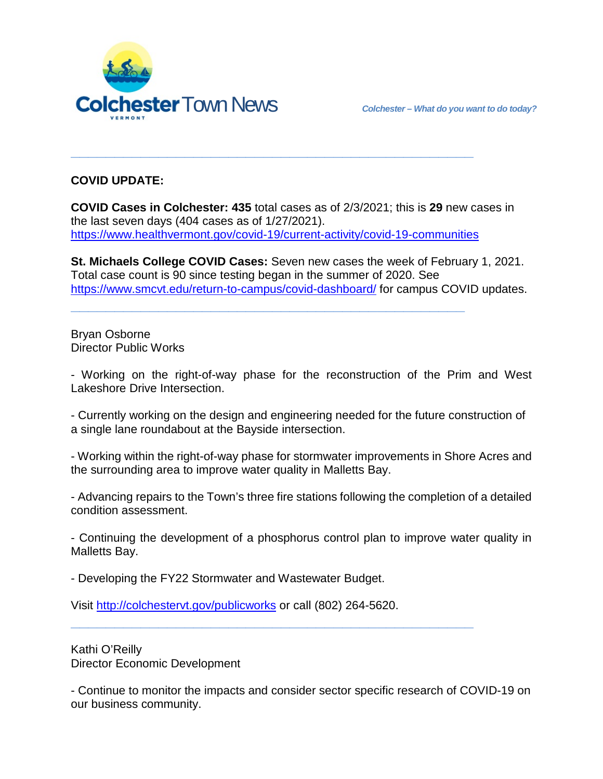

## **COVID UPDATE:**

**COVID Cases in Colchester: 435** total cases as of 2/3/2021; this is **29** new cases in the last seven days (404 cases as of 1/27/2021). <https://www.healthvermont.gov/covid-19/current-activity/covid-19-communities>

**\_\_\_\_\_\_\_\_\_\_\_\_\_\_\_\_\_\_\_\_\_\_\_\_\_\_\_\_\_\_\_\_\_\_\_\_\_\_\_\_\_\_\_\_\_\_**

**\_\_\_\_\_\_\_\_\_\_\_\_\_\_\_\_\_\_\_\_\_\_\_\_\_\_\_\_\_\_\_\_\_\_\_\_\_\_\_\_\_\_\_\_\_**

**St. Michaels College COVID Cases:** Seven new cases the week of February 1, 2021. Total case count is 90 since testing began in the summer of 2020. See <https://www.smcvt.edu/return-to-campus/covid-dashboard/> for campus COVID updates.

Bryan Osborne Director Public Works

- Working on the right-of-way phase for the reconstruction of the Prim and West Lakeshore Drive Intersection.

- Currently working on the design and engineering needed for the future construction of a single lane roundabout at the Bayside intersection.

- Working within the right-of-way phase for stormwater improvements in Shore Acres and the surrounding area to improve water quality in Malletts Bay.

- Advancing repairs to the Town's three fire stations following the completion of a detailed condition assessment.

- Continuing the development of a phosphorus control plan to improve water quality in Malletts Bay.

- Developing the FY22 Stormwater and Wastewater Budget.

Visit<http://colchestervt.gov/publicworks> or call (802) 264-5620.

**\_\_\_\_\_\_\_\_\_\_\_\_\_\_\_\_\_\_\_\_\_\_\_\_\_\_\_\_\_\_\_\_\_\_\_\_\_\_\_\_\_\_\_\_\_\_**

Kathi O'Reilly Director Economic Development

- Continue to monitor the impacts and consider sector specific research of COVID-19 on our business community.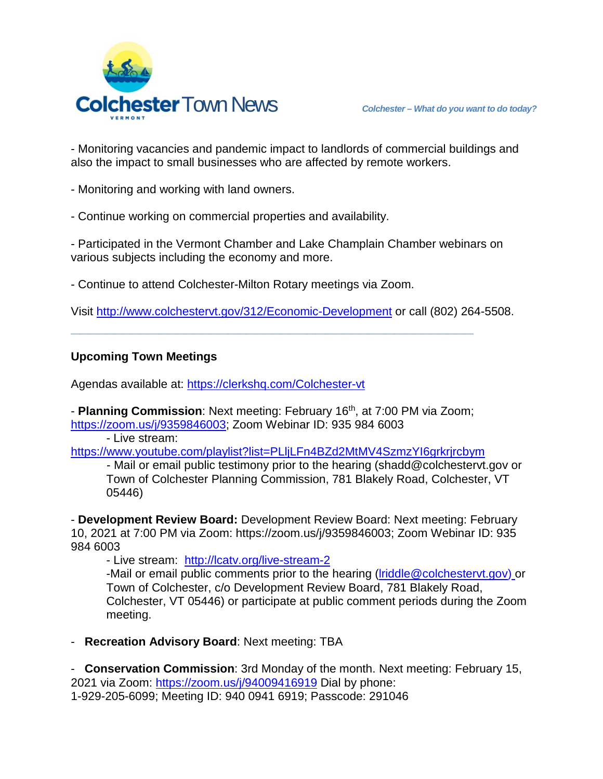

- Monitoring vacancies and pandemic impact to landlords of commercial buildings and also the impact to small businesses who are affected by remote workers.

- Monitoring and working with land owners.

- Continue working on commercial properties and availability.

- Participated in the Vermont Chamber and Lake Champlain Chamber webinars on various subjects including the economy and more.

- Continue to attend Colchester-Milton Rotary meetings via Zoom.

Visit<http://www.colchestervt.gov/312/Economic-Development> or call (802) 264-5508.

## **Upcoming Town Meetings**

Agendas available at:<https://clerkshq.com/Colchester-vt>

- **Planning Commission**: Next meeting: February 16th, at 7:00 PM via Zoom; [https://zoom.us/j/9359846003;](https://zoom.us/j/9359846003) Zoom Webinar ID: 935 984 6003

**\_\_\_\_\_\_\_\_\_\_\_\_\_\_\_\_\_\_\_\_\_\_\_\_\_\_\_\_\_\_\_\_\_\_\_\_\_\_\_\_\_\_\_\_\_\_**

- Live stream:

<https://www.youtube.com/playlist?list=PLljLFn4BZd2MtMV4SzmzYI6grkrjrcbym>

- Mail or email public testimony prior to the hearing (shadd@colchestervt.gov or Town of Colchester Planning Commission, 781 Blakely Road, Colchester, VT 05446)

- **Development Review Board:** Development Review Board: Next meeting: February 10, 2021 at 7:00 PM via Zoom: https://zoom.us/j/9359846003; Zoom Webinar ID: 935 984 6003

- Live stream: <http://lcatv.org/live-stream-2>

-Mail or email public comments prior to the hearing (*lriddle@colchestervt.gov*) or Town of Colchester, c/o Development Review Board, 781 Blakely Road, Colchester, VT 05446) or participate at public comment periods during the Zoom meeting.

- **Recreation Advisory Board**: Next meeting: TBA

- **Conservation Commission**: 3rd Monday of the month. Next meeting: February 15, 2021 via Zoom:<https://zoom.us/j/94009416919> Dial by phone: 1-929-205-6099; Meeting ID: 940 0941 6919; Passcode: 291046